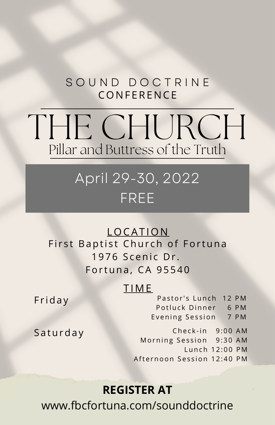## **CONFERENCE** SOUND DOCTRINE

# Pillar and Buttress of the Truth THE CHURCH

## April 29-30, 2022 FREE

**LOCATION** First Baptist Church of Fortuna 1976 Scenic Dr. Fortuna, CA 95540

### T IME

**Friday** 

Pastor's Lunch 12 PM Potluck Dinner 6 PM Evening Session 7 PM

**Saturday** 

Check-in 9:00 AM Morning Session 9:30 AM Lunch 12:00 PM Afternoon Session 12:40 PM

## **REGISTER AT**

www.fbcfortuna.com/sounddoctrine